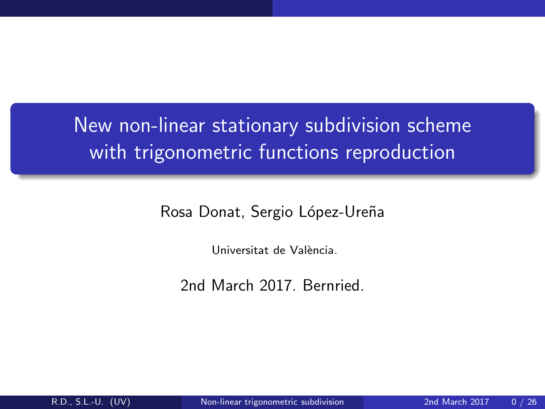New non-linear stationary subdivision scheme with trigonometric functions reproduction

Rosa Donat, Sergio López-Ureña

<span id="page-0-0"></span>Universitat de València.

2nd March 2017. Bernried.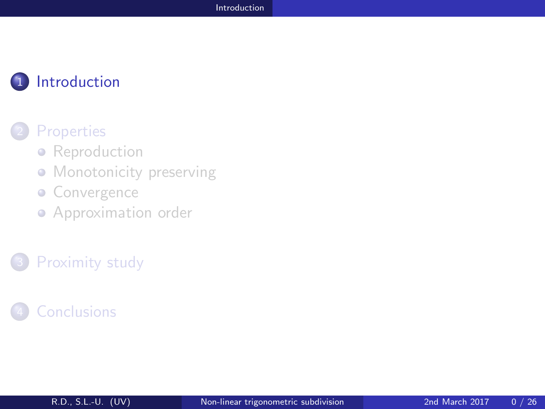## **[Properties](#page-16-0)**

- **•** [Reproduction](#page-17-0)
- [Monotonicity preserving](#page-22-0)
- **[Convergence](#page-26-0)**
- <span id="page-1-0"></span>**•** [Approximation order](#page-30-0)

## [Proximity study](#page-33-0)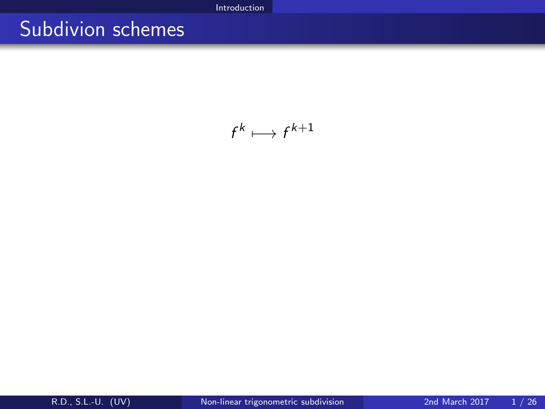# Subdivion schemes

<span id="page-2-0"></span> $f^k \longmapsto f^{k+1}$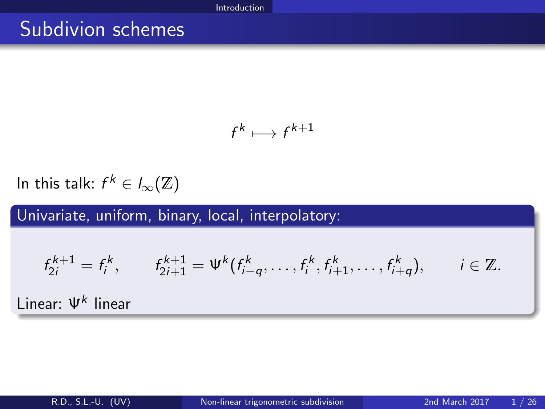# Subdivion schemes

<span id="page-3-0"></span>
$$
f^k \longmapsto f^{k+1}
$$

In this talk: 
$$
f^k \in I_\infty(\mathbb{Z})
$$

Univariate, uniform, binary, local, interpolatory:

$$
f_{2i}^{k+1} = f_i^k, \qquad f_{2i+1}^{k+1} = \Psi^k(f_{i-q}^k, \dots, f_i^k, f_{i+1}^k, \dots, f_{i+q}^k), \qquad i \in \mathbb{Z}.
$$

Linear: Ψ<sup>k</sup> linear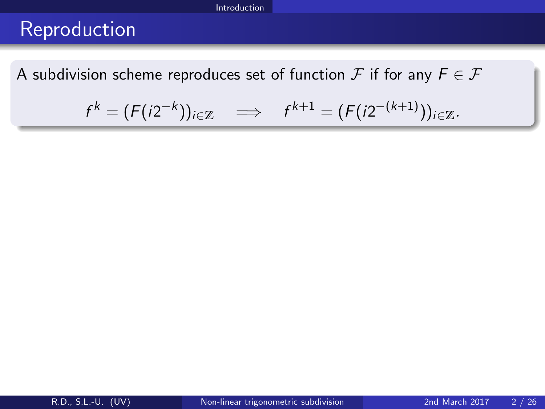# Reproduction

A subdivision scheme reproduces set of function  $\mathcal F$  if for any  $F \in \mathcal F$ 

<span id="page-4-0"></span>
$$
f^k = (F(i2^{-k}))_{i \in \mathbb{Z}} \quad \Longrightarrow \quad f^{k+1} = (F(i2^{-(k+1)}))_{i \in \mathbb{Z}}.
$$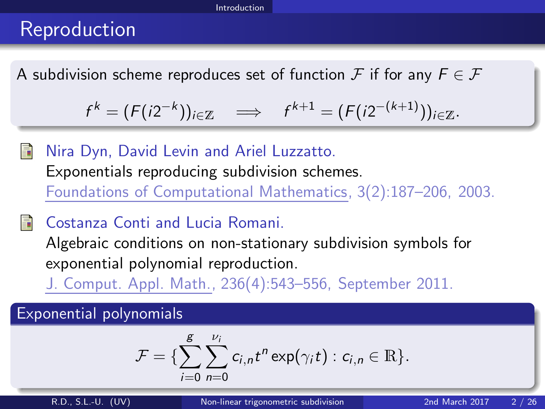# **Reproduction**

A subdivision scheme reproduces set of function  $\mathcal F$  if for any  $F \in \mathcal F$ 

$$
f^k = (F(i2^{-k}))_{i \in \mathbb{Z}} \quad \Longrightarrow \quad f^{k+1} = (F(i2^{-(k+1)}))_{i \in \mathbb{Z}}.
$$

Nira Dyn, David Levin and Ariel Luzzatto. Exponentials reproducing subdivision schemes. Foundations of Computational Mathematics, 3(2):187–206, 2003.

Costanza Conti and Lucia Romani.

Algebraic conditions on non-stationary subdivision symbols for exponential polynomial reproduction.

J. Comput. Appl. Math., 236(4):543–556, September 2011.

Exponential polynomials

<span id="page-5-0"></span>
$$
\mathcal{F}=\{\sum_{i=0}^g\sum_{n=0}^{\nu_i}c_{i,n}t^n\exp(\gamma_it):c_{i,n}\in\mathbb{R}\}.
$$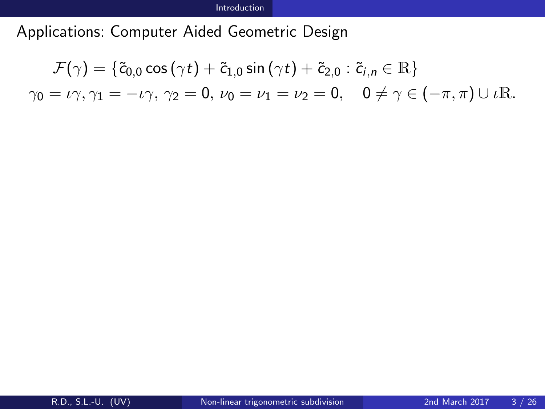Applications: Computer Aided Geometric Design

<span id="page-6-0"></span>
$$
\mathcal{F}(\gamma) = \{\tilde{c}_{0,0} \cos(\gamma t) + \tilde{c}_{1,0} \sin(\gamma t) + \tilde{c}_{2,0} : \tilde{c}_{i,n} \in \mathbb{R}\}
$$
  

$$
\gamma_0 = \iota \gamma, \gamma_1 = -\iota \gamma, \gamma_2 = 0, \ \nu_0 = \nu_1 = \nu_2 = 0, \quad 0 \neq \gamma \in (-\pi, \pi) \cup \iota \mathbb{R}.
$$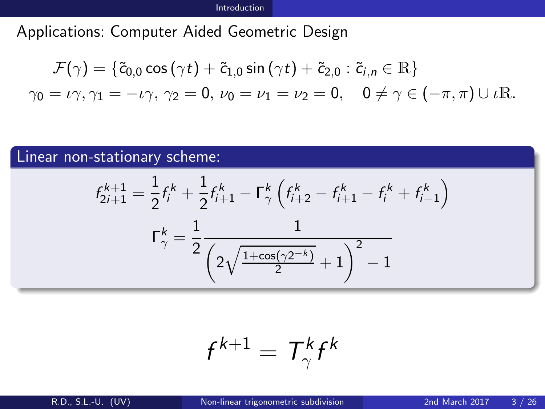Applications: Computer Aided Geometric Design

$$
\mathcal{F}(\gamma) = \{\tilde{c}_{0,0} \cos(\gamma t) + \tilde{c}_{1,0} \sin(\gamma t) + \tilde{c}_{2,0} : \tilde{c}_{i,n} \in \mathbb{R}\}
$$
  

$$
\gamma_0 = \iota \gamma, \gamma_1 = -\iota \gamma, \gamma_2 = 0, \ \nu_0 = \nu_1 = \nu_2 = 0, \quad 0 \neq \gamma \in (-\pi, \pi) \cup \iota \mathbb{R}.
$$

### Linear non-stationary scheme:

$$
f_{2i+1}^{k+1} = \frac{1}{2} f_i^k + \frac{1}{2} f_{i+1}^k - \Gamma_{\gamma}^k \left( f_{i+2}^k - f_{i+1}^k - f_i^k + f_{i-1}^k \right)
$$

$$
\Gamma_{\gamma}^k = \frac{1}{2} \frac{1}{\left( 2\sqrt{\frac{1 + \cos(\gamma 2^{-k})}{2}} + 1 \right)^2 - 1}
$$

<span id="page-7-0"></span>
$$
f^{k+1} = T^k_\gamma f^k
$$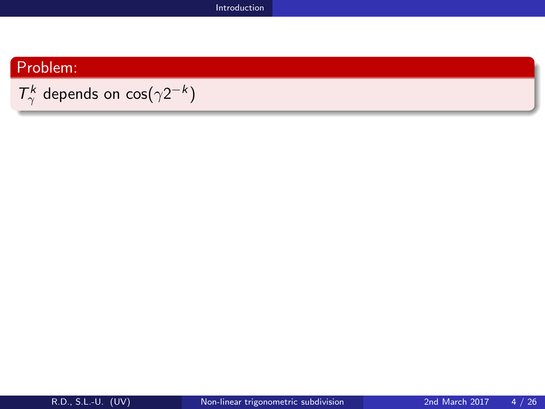<span id="page-8-0"></span> $\mathcal{T}_{\gamma}^{k}$  depends on cos $(\gamma 2^{-k})$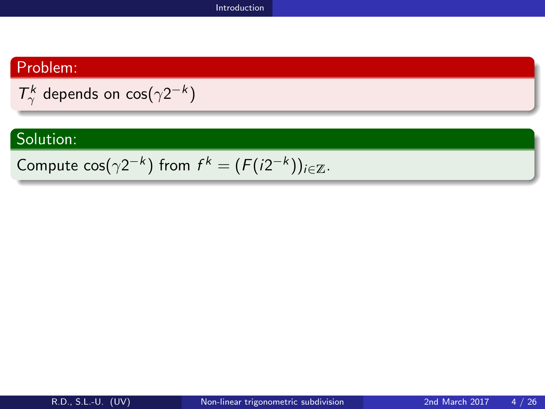$$
\mathcal{T}_{\gamma}^{k}
$$
 depends on  $\cos(\gamma 2^{-k})$ 

## Solution:

<span id="page-9-0"></span>Compute 
$$
\cos(\gamma 2^{-k})
$$
 from  $f^k = (F(i2^{-k}))_{i \in \mathbb{Z}}$ .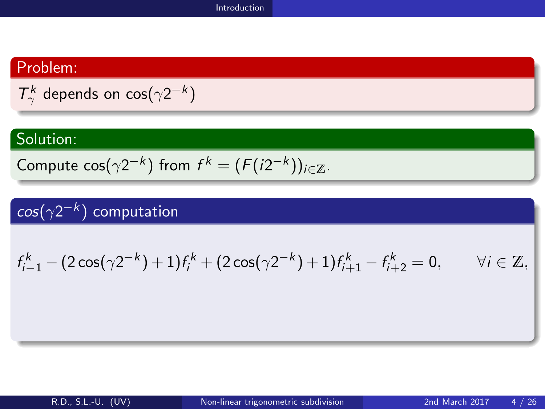$$
\mathcal{T}_{\gamma}^{k}
$$
 depends on  $\cos(\gamma 2^{-k})$ 

## Solution:

Compute 
$$
\cos(\gamma 2^{-k})
$$
 from  $f^k = (F(i2^{-k}))_{i \in \mathbb{Z}}$ .

## $cos(\gamma 2^{-k})$  computation

<span id="page-10-0"></span>
$$
f_{i-1}^k - (2\cos(\gamma 2^{-k}) + 1)f_i^k + (2\cos(\gamma 2^{-k}) + 1)f_{i+1}^k - f_{i+2}^k = 0, \qquad \forall i \in \mathbb{Z},
$$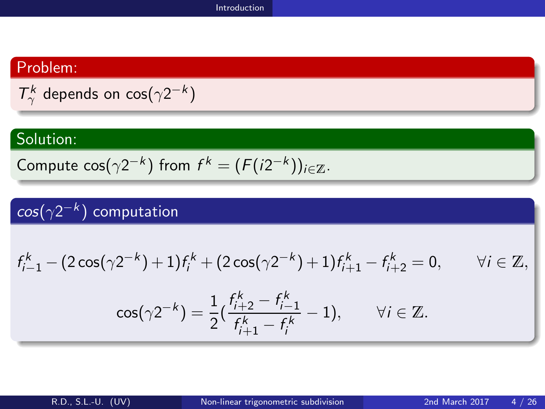$$
\mathcal{T}_{\gamma}^{k}
$$
 depends on  $\cos(\gamma 2^{-k})$ 

## Solution:

Compute 
$$
\cos(\gamma 2^{-k})
$$
 from  $f^k = (F(i2^{-k}))_{i \in \mathbb{Z}}$ .

## $cos(\gamma 2^{-k})$  computation

$$
f_{i-1}^k - (2\cos(\gamma 2^{-k}) + 1)f_i^k + (2\cos(\gamma 2^{-k}) + 1)f_{i+1}^k - f_{i+2}^k = 0, \qquad \forall i \in \mathbb{Z},
$$

<span id="page-11-0"></span>
$$
\cos(\gamma 2^{-k}) = \frac{1}{2} \left( \frac{f_{i+2}^k - f_{i-1}^k}{f_{i+1}^k - f_i^k} - 1 \right), \qquad \forall i \in \mathbb{Z}.
$$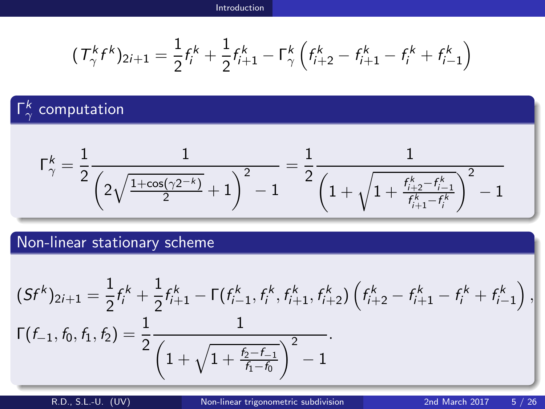$$
(T_{\gamma}^k f^k)_{2i+1} = \frac{1}{2} f_i^k + \frac{1}{2} f_{i+1}^k - \Gamma_{\gamma}^k \left( f_{i+2}^k - f_{i+1}^k - f_i^k + f_{i-1}^k \right)
$$

## $\mathsf{\Gamma}_{\gamma}^{k}$  computation

$$
\Gamma_{\gamma}^k = \frac{1}{2} \frac{1}{\left(2\sqrt{\frac{1+\cos(\gamma 2^{-k})}{2}}+1\right)^2-1} = \frac{1}{2} \frac{1}{\left(1+\sqrt{1+\frac{f_{i+2}^k-f_{i-1}^k}{f_{i+1}^k-f_i^k}}\right)^2-1}
$$

#### Non-linear stationary scheme

<span id="page-12-0"></span>
$$
(Sf^k)_{2i+1} = \frac{1}{2}f_i^k + \frac{1}{2}f_{i+1}^k - \Gamma(f_{i-1}^k, f_i^k, f_{i+1}^k, f_{i+2}^k) \left(f_{i+2}^k - f_{i+1}^k - f_i^k + f_{i-1}^k\right),
$$
  

$$
\Gamma(f_{-1}, f_0, f_1, f_2) = \frac{1}{2} \frac{1}{\left(1 + \sqrt{1 + \frac{f_2 - f_{-1}}{f_1 - f_0}}\right)^2 - 1}.
$$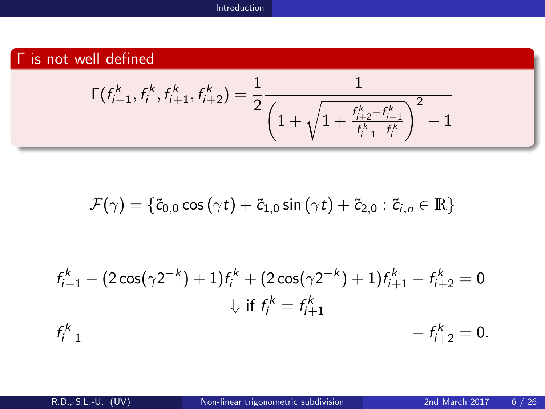## Γ is not well defined

$$
\Gamma(f_{i-1}^k, f_i^k, f_{i+1}^k, f_{i+2}^k) = \frac{1}{2} \frac{1}{\left(1 + \sqrt{1 + \frac{f_{i+2}^k - f_{i-1}^k}{f_{i+1}^k - f_i^k}}\right)^2 - 1}
$$

<span id="page-13-0"></span>
$$
\mathcal{F}(\gamma)=\{\tilde{c}_{0,0}\cos{(\gamma t)}+\tilde{c}_{1,0}\sin{(\gamma t)}+\tilde{c}_{2,0}: \tilde{c}_{i,n}\in\mathbb{R}\}
$$

$$
f_{i-1}^k - (2\cos(\gamma 2^{-k}) + 1)f_i^k + (2\cos(\gamma 2^{-k}) + 1)f_{i+1}^k - f_{i+2}^k = 0
$$
  
 
$$
\downarrow \text{ if } f_i^k = f_{i+1}^k
$$
  

$$
f_{i-1}^k - f_{i+2}^k = 0.
$$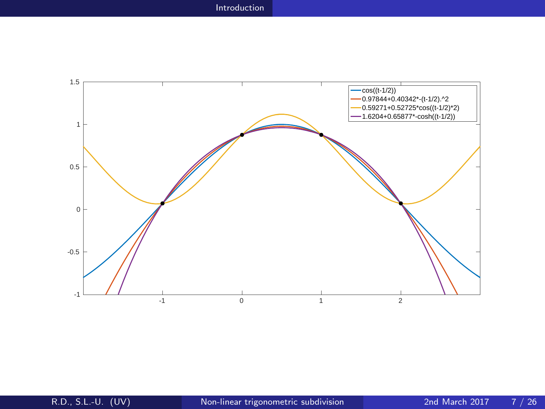<span id="page-14-0"></span>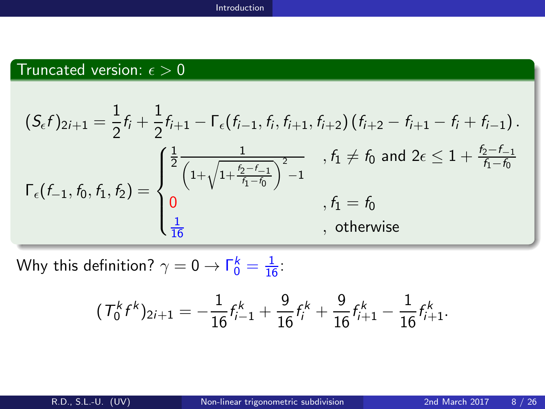#### Truncated version:  $\epsilon > 0$

$$
(S_{\epsilon}f)_{2i+1} = \frac{1}{2}f_i + \frac{1}{2}f_{i+1} - \Gamma_{\epsilon}(f_{i-1}, f_i, f_{i+1}, f_{i+2})(f_{i+2} - f_{i+1} - f_i + f_{i-1}).
$$
  

$$
\Gamma_{\epsilon}(f_{-1}, f_0, f_1, f_2) = \begin{cases} \frac{1}{2} \frac{1}{\left(1 + \sqrt{1 + \frac{f_2 - f_{-1}}{f_1 - f_0}}\right)^2 - 1}, & f_1 \neq f_0 \text{ and } 2\epsilon \leq 1 + \frac{f_2 - f_{-1}}{f_1 - f_0} \\ 0, & f_1 = f_0 \\ \frac{1}{16}, & \text{otherwise} \end{cases}
$$

Why this definition?  $\gamma = 0 \rightarrow \Gamma_0^k = \frac{1}{16}$ :

<span id="page-15-0"></span>
$$
(T_0^k f^k)_{2i+1} = -\frac{1}{16} f_{i-1}^k + \frac{9}{16} f_i^k + \frac{9}{16} f_{i+1}^k - \frac{1}{16} f_{i+1}^k.
$$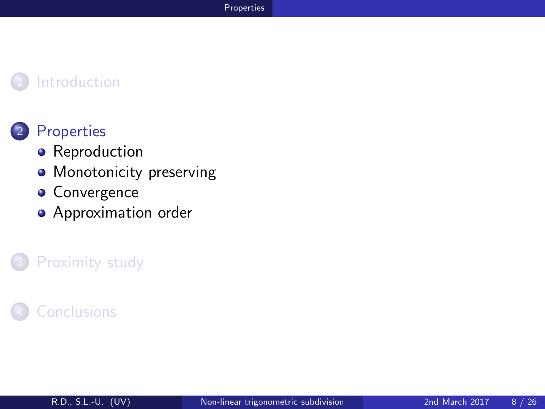## 2 [Properties](#page-16-0)

- **•** [Reproduction](#page-17-0)
- [Monotonicity preserving](#page-22-0)
- **•** [Convergence](#page-26-0)
- <span id="page-16-0"></span>**•** [Approximation order](#page-30-0)

## [Proximity study](#page-33-0)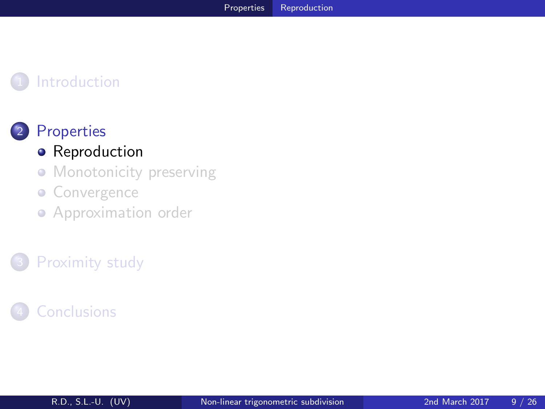## 2 [Properties](#page-16-0)

#### **•** [Reproduction](#page-17-0)

- [Monotonicity preserving](#page-22-0)
- **[Convergence](#page-26-0)**
- <span id="page-17-0"></span>**•** [Approximation order](#page-30-0)

## [Proximity study](#page-33-0)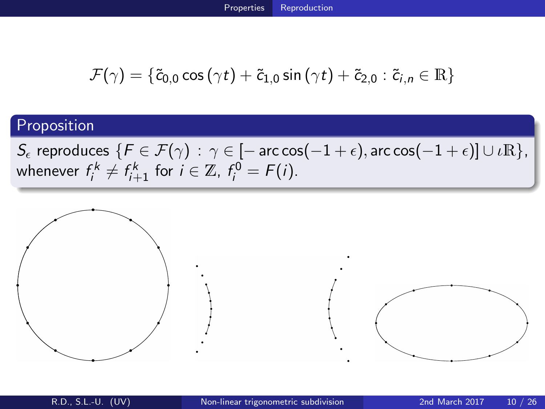<span id="page-18-0"></span>
$$
\mathcal{F}(\gamma) = \{ \tilde{c}_{0,0} \cos(\gamma t) + \tilde{c}_{1,0} \sin(\gamma t) + \tilde{c}_{2,0} : \tilde{c}_{i,n} \in \mathbb{R} \}
$$

#### Proposition

 $S_{\epsilon}$  reproduces  $\{F \in \mathcal{F}(\gamma) : \gamma \in [-\arccos(-1+\epsilon), \arccos(-1+\epsilon)] \cup \iota \mathbb{R} \},\$ whenever  $f_i^k \neq f_{i+1}^k$  for  $i \in \mathbb{Z}$ ,  $f_i^0 = F(i)$ .

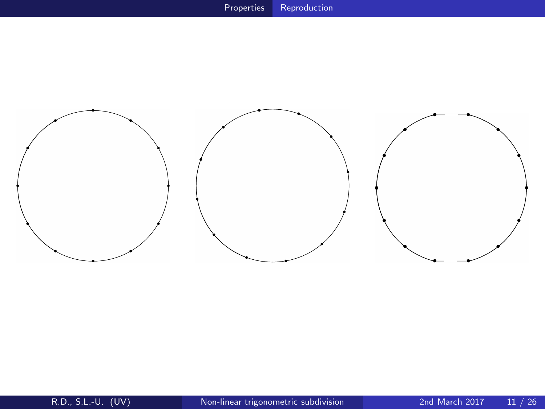<span id="page-19-0"></span>

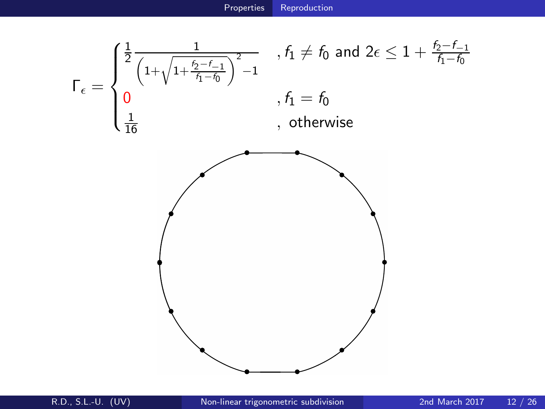

<span id="page-20-0"></span>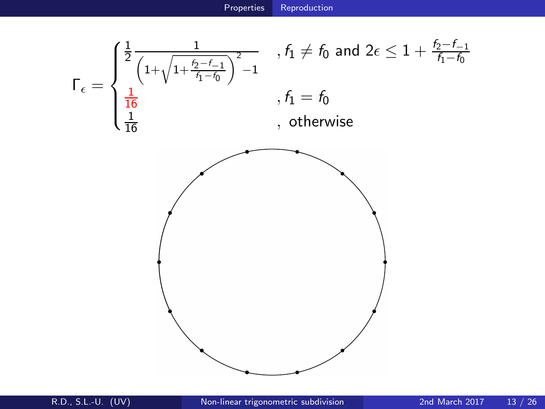

<span id="page-21-0"></span>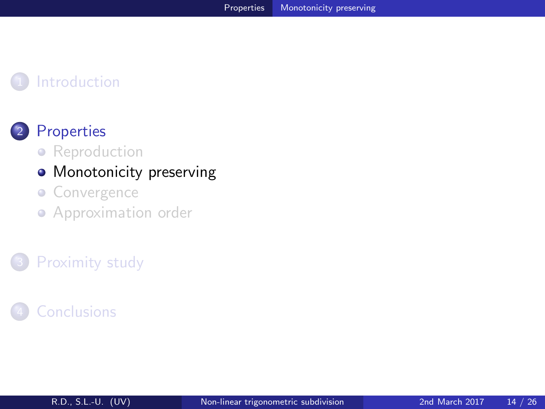

## 2 [Properties](#page-16-0)

- **•** [Reproduction](#page-17-0)
- [Monotonicity preserving](#page-22-0)
- **[Convergence](#page-26-0)**
- <span id="page-22-0"></span>**•** [Approximation order](#page-30-0)

## [Proximity study](#page-33-0)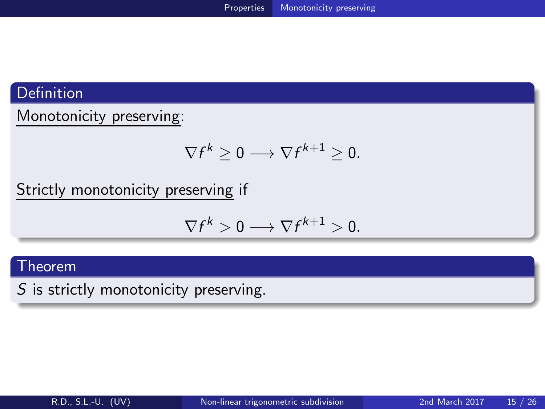### Definition

Monotonicity preserving:

$$
\nabla f^k \geq 0 \longrightarrow \nabla f^{k+1} \geq 0.
$$

Strictly monotonicity preserving if

<span id="page-23-0"></span>
$$
\nabla f^k > 0 \longrightarrow \nabla f^{k+1} > 0.
$$

#### Theorem

S is strictly monotonicity preserving.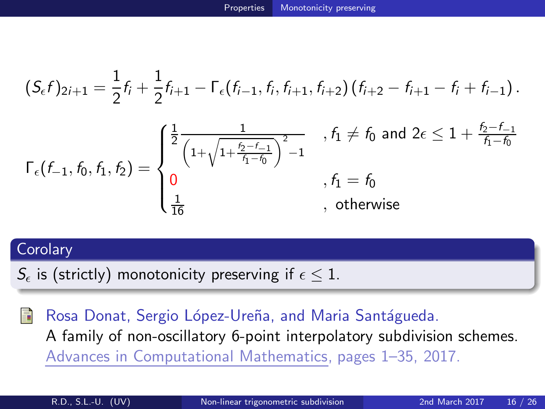$$
(S_{\epsilon}f)_{2i+1}=\frac{1}{2}f_i+\frac{1}{2}f_{i+1}-\Gamma_{\epsilon}(f_{i-1},f_i,f_{i+1},f_{i+2})(f_{i+2}-f_{i+1}-f_i+f_{i-1}).
$$

$$
\Gamma_{\epsilon}(f_{-1},f_{0},f_{1},f_{2}) = \begin{cases} \frac{1}{2} \frac{1}{\left(1+\sqrt{1+\frac{f_{2}-f_{-1}}{f_{1}-f_{0}}}\right)^{2}-1} & ,f_{1}\neq f_{0} \text{ and } 2\epsilon \leq 1+\frac{f_{2}-f_{-1}}{f_{1}-f_{0}} \\ 0 & ,f_{1}=f_{0} \\ \frac{1}{16} & , \text{ otherwise} \end{cases}
$$

#### **Corolary**

 $S_{\epsilon}$  is (strictly) monotonicity preserving if  $\epsilon \leq 1$ .

Rosa Donat, Sergio López-Ureña, and Maria Santágueda. A family of non-oscillatory 6-point interpolatory subdivision schemes. Advances in Computational Mathematics, pages 1–35, 2017.

<span id="page-24-0"></span>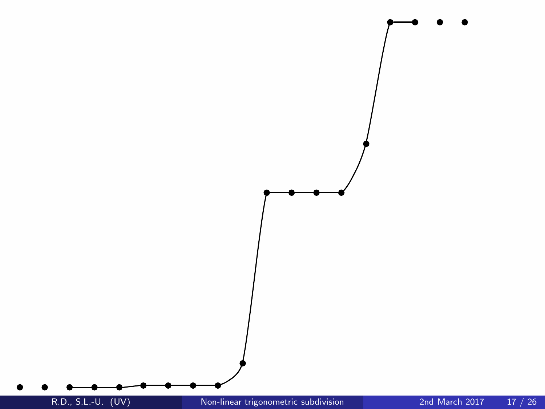<span id="page-25-0"></span>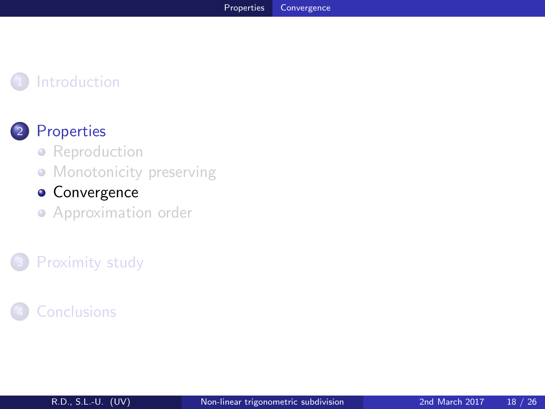## 2 [Properties](#page-16-0)

- 
- **•** [Reproduction](#page-17-0)
- [Monotonicity preserving](#page-22-0)
- **•** [Convergence](#page-26-0)
- <span id="page-26-0"></span>**•** [Approximation order](#page-30-0)

## [Proximity study](#page-33-0)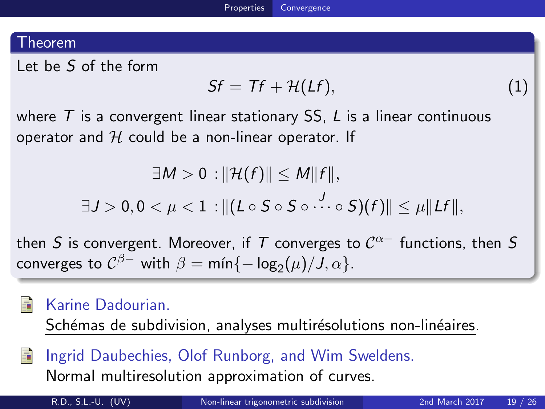#### Theorem

Let be S of the form

<span id="page-27-0"></span>
$$
Sf = Tf + \mathcal{H}(Lf), \qquad (1)
$$

where  $T$  is a convergent linear stationary SS, L is a linear continuous operator and  $H$  could be a non-linear operator. If

$$
\exists M > 0 : ||\mathcal{H}(f)|| \leq M||f||,
$$
  

$$
\exists J > 0, 0 < \mu < 1 : ||(L \circ S \circ S \circ \cdots \circ S)(f)|| \leq \mu||Lf||,
$$

then S is convergent. Moreover, if T converges to  $\mathcal{C}^{\alpha-}$  functions, then S converges to  $C^{\beta-}$  with  $\beta = \min\{-\log_2(\mu)/J, \alpha\}.$ 

#### Karine Dadourian.

Schémas de subdivision, analyses multirésolutions non-linéaires.

## Ingrid Daubechies, Olof Runborg, and Wim Sweldens. Normal multiresolution approximation of curves.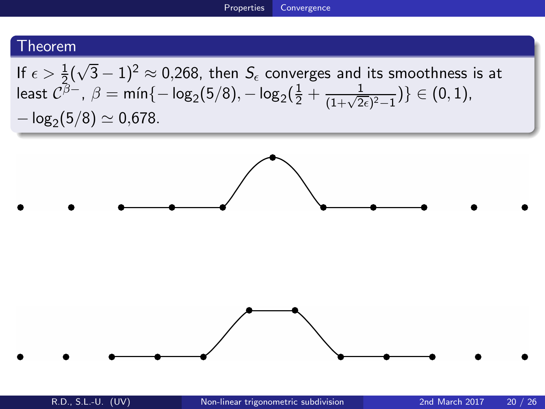#### Theorem

If  $\epsilon > \frac{1}{2}(\sqrt{3}-1)^2 \approx 0.268$ , then  $S_{\epsilon}$  converges and its smoothness is at least  $\mathcal{C}^{\beta-}$ ,  $\beta = \min\{-\log_2(5/8), -\log_2(\frac{1}{2} + \frac{1}{(1+\sqrt{2\epsilon})^2-1})\}$  ∈ (0, 1),  $-\log_2(5/8) \simeq 0,678.$ 

<span id="page-28-0"></span>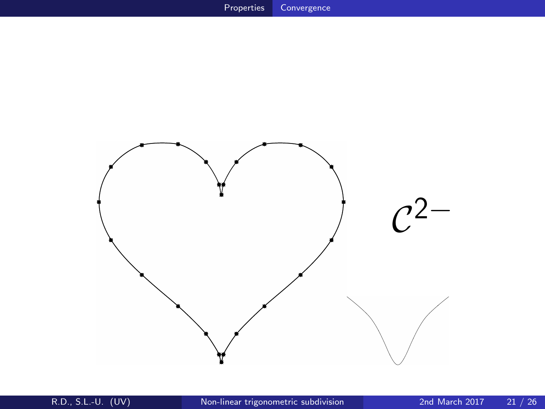<span id="page-29-0"></span>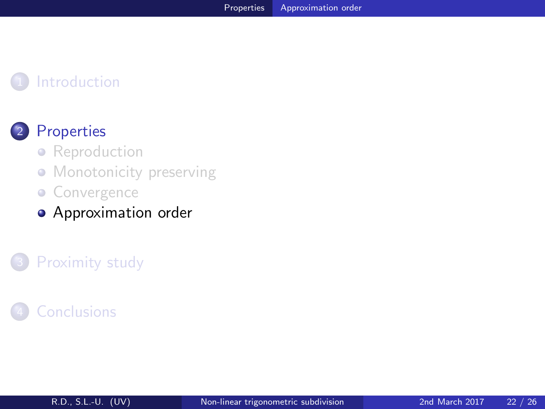

## 2 [Properties](#page-16-0)

- **•** [Reproduction](#page-17-0)
- [Monotonicity preserving](#page-22-0)
- **[Convergence](#page-26-0)**
- <span id="page-30-0"></span>**•** [Approximation order](#page-30-0)

## [Proximity study](#page-33-0)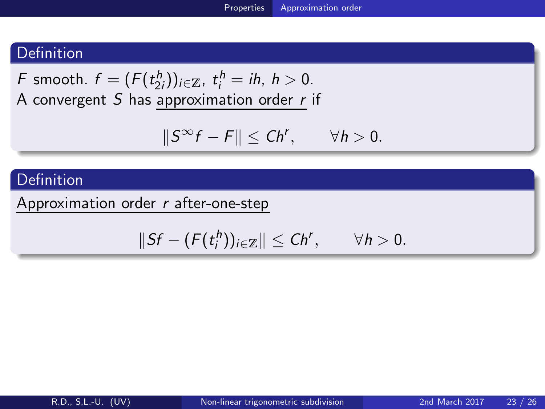#### Definition

F smooth.  $f = (F(t_{2i}^h))_{i \in \mathbb{Z}}$ ,  $t_i^h = ih$ ,  $h > 0$ .

A convergent  $S$  has approximation order  $r$  if

$$
||S^{\infty}f-F||\leq Ch^{r},\qquad \forall h>0.
$$

#### Definition

Approximation order r after-one-step

<span id="page-31-0"></span>
$$
||Sf-(F(t_i^h))_{i\in\mathbb{Z}}||\leq Ch^r, \qquad \forall h>0.
$$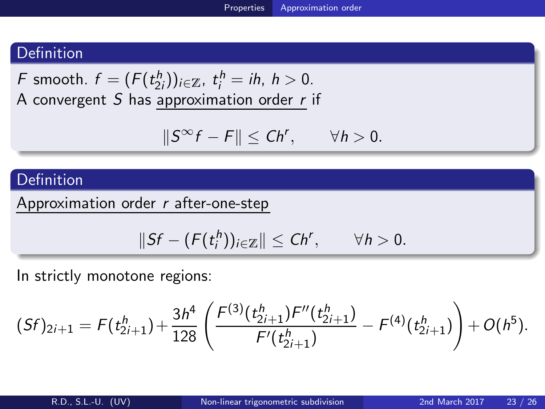#### Definition

F smooth.  $f = (F(t_{2i}^h))_{i \in \mathbb{Z}}$ ,  $t_i^h = ih$ ,  $h > 0$ .

A convergent  $S$  has approximation order  $r$  if

$$
||S^{\infty}f-F||\leq Ch^{r},\qquad \forall h>0.
$$

#### Definition

Approximation order r after-one-step

<span id="page-32-0"></span>
$$
||Sf-(F(t_i^h))_{i\in\mathbb{Z}}||\leq Ch^r, \qquad \forall h>0.
$$

In strictly monotone regions:

$$
(Sf)_{2i+1} = F(t_{2i+1}^h) + \frac{3h^4}{128} \left( \frac{F^{(3)}(t_{2i+1}^h)F''(t_{2i+1}^h)}{F'(t_{2i+1}^h)} - F^{(4)}(t_{2i+1}^h) \right) + O(h^5).
$$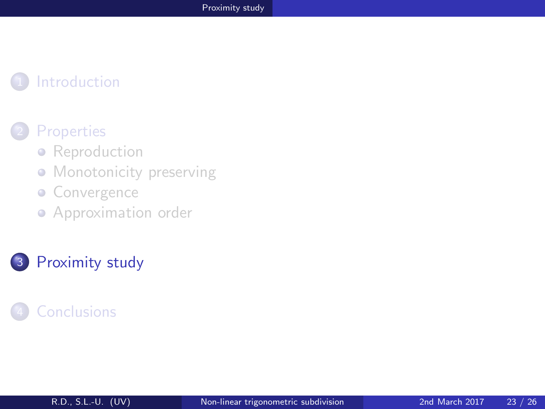## **[Properties](#page-16-0)**

- **•** [Reproduction](#page-17-0)
- [Monotonicity preserving](#page-22-0)
- **[Convergence](#page-26-0)**
- <span id="page-33-0"></span>**•** [Approximation order](#page-30-0)

## 3 [Proximity study](#page-33-0)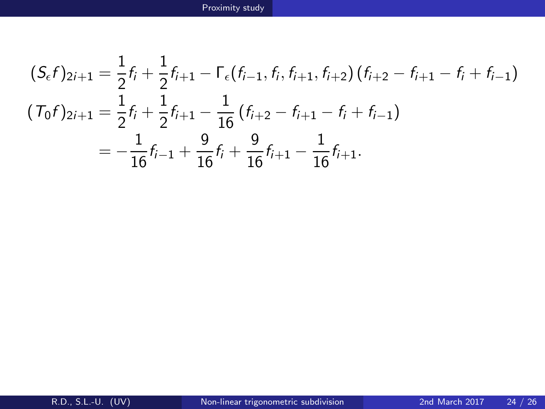<span id="page-34-0"></span>
$$
(S_{\epsilon}f)_{2i+1} = \frac{1}{2}f_i + \frac{1}{2}f_{i+1} - \Gamma_{\epsilon}(f_{i-1}, f_i, f_{i+1}, f_{i+2}) (f_{i+2} - f_{i+1} - f_i + f_{i-1})
$$
  
\n
$$
(T_0f)_{2i+1} = \frac{1}{2}f_i + \frac{1}{2}f_{i+1} - \frac{1}{16}(f_{i+2} - f_{i+1} - f_i + f_{i-1})
$$
  
\n
$$
= -\frac{1}{16}f_{i-1} + \frac{9}{16}f_i + \frac{9}{16}f_{i+1} - \frac{1}{16}f_{i+1}.
$$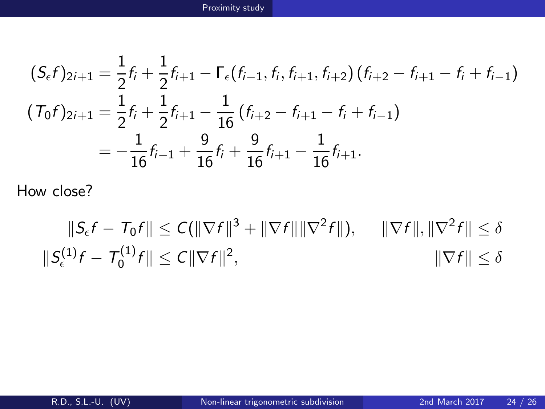$$
(S_{\epsilon}f)_{2i+1} = \frac{1}{2}f_i + \frac{1}{2}f_{i+1} - \Gamma_{\epsilon}(f_{i-1}, f_i, f_{i+1}, f_{i+2}) (f_{i+2} - f_{i+1} - f_i + f_{i-1})
$$
  
\n
$$
(T_0f)_{2i+1} = \frac{1}{2}f_i + \frac{1}{2}f_{i+1} - \frac{1}{16}(f_{i+2} - f_{i+1} - f_i + f_{i-1})
$$
  
\n
$$
= -\frac{1}{16}f_{i-1} + \frac{9}{16}f_i + \frac{9}{16}f_{i+1} - \frac{1}{16}f_{i+1}.
$$

How close?

<span id="page-35-0"></span>
$$
||S_{\epsilon}f - T_0f|| \le C(||\nabla f||^3 + ||\nabla f|| ||\nabla^2 f||), \quad ||\nabla f||, ||\nabla^2 f|| \le \delta
$$
  

$$
||S_{\epsilon}^{(1)}f - T_0^{(1)}f|| \le C||\nabla f||^2, \quad ||\nabla f|| \le \delta
$$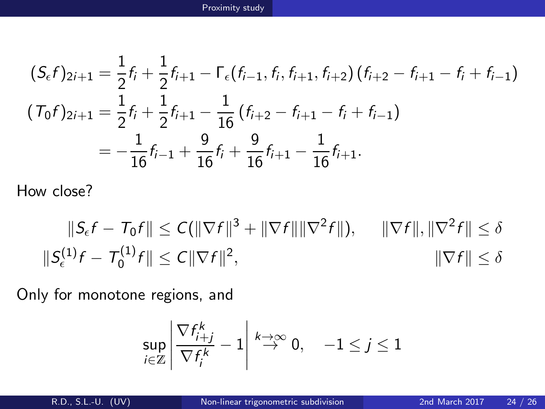$$
(S_{\epsilon}f)_{2i+1} = \frac{1}{2}f_i + \frac{1}{2}f_{i+1} - \Gamma_{\epsilon}(f_{i-1}, f_i, f_{i+1}, f_{i+2}) (f_{i+2} - f_{i+1} - f_i + f_{i-1})
$$
  
\n
$$
(T_0f)_{2i+1} = \frac{1}{2}f_i + \frac{1}{2}f_{i+1} - \frac{1}{16}(f_{i+2} - f_{i+1} - f_i + f_{i-1})
$$
  
\n
$$
= -\frac{1}{16}f_{i-1} + \frac{9}{16}f_i + \frac{9}{16}f_{i+1} - \frac{1}{16}f_{i+1}.
$$

How close?

$$
||S_{\epsilon}f - T_0f|| \le C(||\nabla f||^3 + ||\nabla f|| ||\nabla^2 f||), \quad ||\nabla f||, ||\nabla^2 f|| \le \delta
$$
  

$$
||S_{\epsilon}^{(1)}f - T_0^{(1)}f|| \le C||\nabla f||^2, \quad ||\nabla f|| \le \delta
$$

Only for monotone regions, and

<span id="page-36-0"></span>
$$
\sup_{i\in\mathbb{Z}}\left|\frac{\nabla f_{i+j}^k}{\nabla f_i^k}-1\right|\stackrel{k\to\infty}{\to}0,\quad -1\leq j\leq 1
$$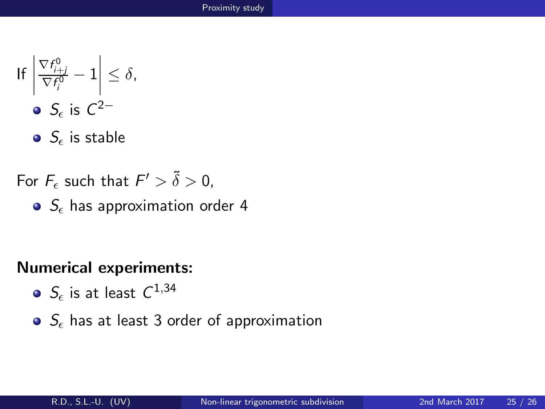$$
\begin{aligned} \n\text{If } \left| \frac{\nabla f_{i+j}^0}{\nabla f_i^0} - 1 \right| &\leq \delta, \\
&\bullet \quad S_{\epsilon} \text{ is } C^{2-} \\
&\bullet \quad \text{or } \quad \text{or } \quad \text{or } \quad \text{or } \quad \text{or } \quad \text{or } \quad \text{or } \quad \text{or } \quad \text{or } \quad \text{or } \quad \text{or } \quad \text{or } \quad \text{or } \quad \text{or } \quad \text{or } \quad \text{or } \quad \text{or } \quad \text{or } \quad \text{or } \quad \text{or } \quad \text{or } \quad \text{or } \quad \text{or } \quad \text{or } \quad \text{or } \quad \text{or } \quad \text{or } \quad \text{or } \quad \text{or } \quad \text{or } \quad \text{or } \quad \text{or } \quad \text{or } \quad \text{or } \quad \text{or } \quad \text{or } \quad \text{or } \quad \text{or } \quad \text{or } \quad \text{or } \quad \text{or } \quad \text{or } \quad \text{or } \quad \text{or } \quad \text{or } \quad \text{or } \quad \text{or } \quad \text{or } \quad \text{or } \quad \text{or } \quad \text{or } \quad \text{or } \quad \text{or } \quad \text{or } \quad \text{or } \quad \text{or } \quad \text{or } \quad \text{or } \quad \text{or } \quad \text{or } \quad \text{or } \quad \text{or } \quad \text{or } \quad \text{or } \quad \text{or } \quad \text{or } \quad \text{or } \quad \text{or } \quad \text{or } \quad \text{or } \quad \text{or } \quad \text{or } \quad \text{or } \quad \text{or } \quad \text{or } \quad \text{or } \quad \text{or } \quad \text{or } \quad \text{or } \quad \text{or } \quad \text{or } \quad \text{or } \quad \text{or } \quad \text{or } \quad \text{or } \quad \text{or } \quad \text{or } \quad \text{or } \quad \text{or } \quad \text{or } \quad \text{or } \quad \text{or } \quad \text{or } \quad \text{or } \quad \text{or } \quad \text{or } \quad \text{or } \quad \text
$$

- $\bullet$  S<sub> $\epsilon$ </sub> is stable
- For  $F_{\epsilon}$  such that  $F' > \tilde{\delta} > 0$ ,
	- $\bullet$  S<sub> $\epsilon$ </sub> has approximation order 4

#### Numerical experiments:

- $S_{\epsilon}$  is at least  $C^{1,34}$
- <span id="page-37-0"></span> $\bullet$  S<sub> $\epsilon$ </sub> has at least 3 order of approximation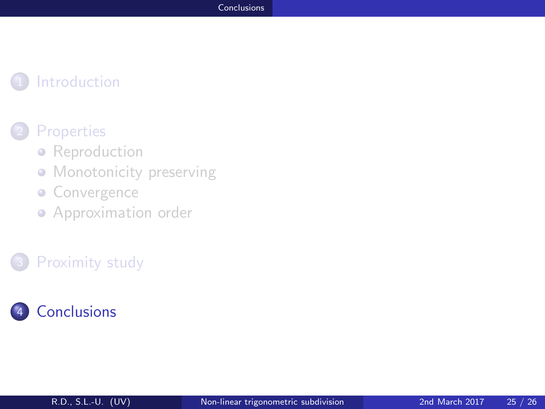## **[Properties](#page-16-0)**

- **•** [Reproduction](#page-17-0)
- [Monotonicity preserving](#page-22-0)
- **[Convergence](#page-26-0)**
- <span id="page-38-0"></span>**•** [Approximation order](#page-30-0)

## [Proximity study](#page-33-0)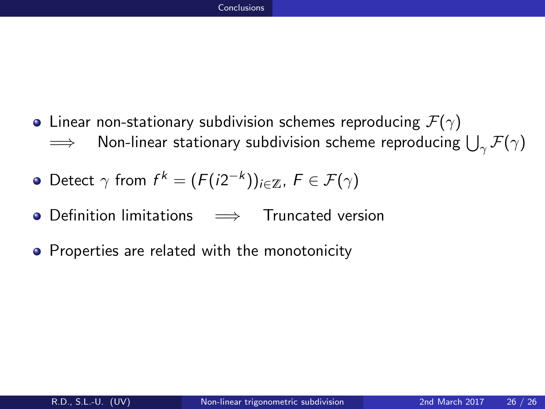- Linear non-stationary subdivision schemes reproducing  $\mathcal{F}(\gamma)$  $\implies$   $\,$  Non-linear stationary subdivision scheme reproducing  $\bigcup_{\gamma} \mathcal{F}(\gamma)$
- Detect  $\gamma$  from  $f^k = (F(i2^{-k}))_{i \in \mathbb{Z}}$ ,  $F \in \mathcal{F}(\gamma)$
- Definition limitations  $\implies$  Truncated version  $\bullet$
- <span id="page-39-0"></span>**•** Properties are related with the monotonicity